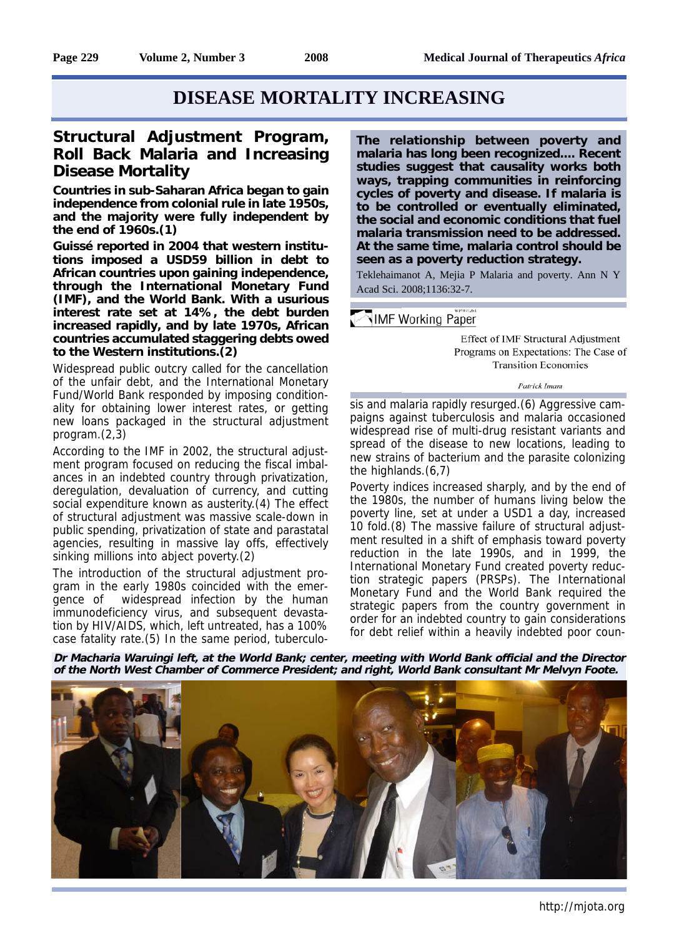# **DISEASE MORTALITY INCREASING**

## **Structural Adjustment Program, Roll Back Malaria and Increasing Disease Mortality**

**Countries in sub-Saharan Africa began to gain independence from colonial rule in late 1950s, and the majority were fully independent by the end of 1960s.(1)** 

**Guissé reported in 2004 that western institutions imposed a USD59 billion in debt to African countries upon gaining independence, through the International Monetary Fund (IMF), and the World Bank. With a usurious interest rate set at 14%, the debt burden increased rapidly, and by late 1970s, African countries accumulated staggering debts owed to the Western institutions.(2)**

Widespread public outcry called for the cancellation of the unfair debt, and the International Monetary Fund/World Bank responded by imposing conditionality for obtaining lower interest rates, or getting new loans packaged in the structural adjustment program.(2,3)

According to the IMF in 2002, the structural adjustment program focused on reducing the fiscal imbalances in an indebted country through privatization, deregulation, devaluation of currency, and cutting social expenditure known as austerity.(4) The effect of structural adjustment was massive scale-down in public spending, privatization of state and parastatal agencies, resulting in massive lay offs, effectively sinking millions into abject poverty.(2)

The introduction of the structural adjustment program in the early 1980s coincided with the emergence of widespread infection by the human immunodeficiency virus, and subsequent devastation by HIV/AIDS, which, left untreated, has a 100% case fatality rate.(5) In the same period, tuberculo**The relationship between poverty and malaria has long been recognized.... Recent studies suggest that causality works both ways, trapping communities in reinforcing cycles of poverty and disease. If malaria is to be controlled or eventually eliminated, the social and economic conditions that fuel malaria transmission need to be addressed. At the same time, malaria control should be seen as a poverty reduction strategy.**

Teklehaimanot A, Mejia P Malaria and poverty. Ann N Y Acad Sci. 2008;1136:32-7.

#### MIMF Working Paper

Effect of IMF Structural Adjustment Programs on Expectations: The Case of **Transition Economies** 

Patrick Imam

sis and malaria rapidly resurged.(6) Aggressive campaigns against tuberculosis and malaria occasioned widespread rise of multi-drug resistant variants and spread of the disease to new locations, leading to new strains of bacterium and the parasite colonizing the highlands.(6,7)

Poverty indices increased sharply, and by the end of the 1980s, the number of humans living below the poverty line, set at under a USD1 a day, increased 10 fold.(8) The massive failure of structural adjustment resulted in a shift of emphasis toward poverty reduction in the late 1990s, and in 1999, the International Monetary Fund created poverty reduction strategic papers (PRSPs). The International Monetary Fund and the World Bank required the strategic papers from the country government in order for an indebted country to gain considerations for debt relief within a heavily indebted poor coun-

**Dr Macharia Waruingi left, at the World Bank; center, meeting with World Bank official and the Director of the North West Chamber of Commerce President; and right, World Bank consultant Mr Melvyn Foote.**